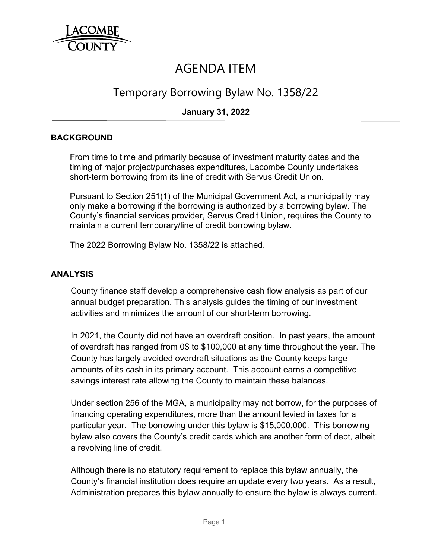

# AGENDA ITEM

## Temporary Borrowing Bylaw No. 1358/22

### **January 31, 2022**

#### **BACKGROUND**

From time to time and primarily because of investment maturity dates and the timing of major project/purchases expenditures, Lacombe County undertakes short-term borrowing from its line of credit with Servus Credit Union.

Pursuant to Section 251(1) of the Municipal Government Act, a municipality may only make a borrowing if the borrowing is authorized by a borrowing bylaw. The County's financial services provider, Servus Credit Union, requires the County to maintain a current temporary/line of credit borrowing bylaw.

The 2022 Borrowing Bylaw No. 1358/22 is attached.

#### **ANALYSIS**

County finance staff develop a comprehensive cash flow analysis as part of our annual budget preparation. This analysis guides the timing of our investment activities and minimizes the amount of our short-term borrowing.

In 2021, the County did not have an overdraft position. In past years, the amount of overdraft has ranged from 0\$ to \$100,000 at any time throughout the year. The County has largely avoided overdraft situations as the County keeps large amounts of its cash in its primary account. This account earns a competitive savings interest rate allowing the County to maintain these balances.

Under section 256 of the MGA, a municipality may not borrow, for the purposes of financing operating expenditures, more than the amount levied in taxes for a particular year. The borrowing under this bylaw is \$15,000,000. This borrowing bylaw also covers the County's credit cards which are another form of debt, albeit a revolving line of credit.

Although there is no statutory requirement to replace this bylaw annually, the County's financial institution does require an update every two years. As a result, Administration prepares this bylaw annually to ensure the bylaw is always current.